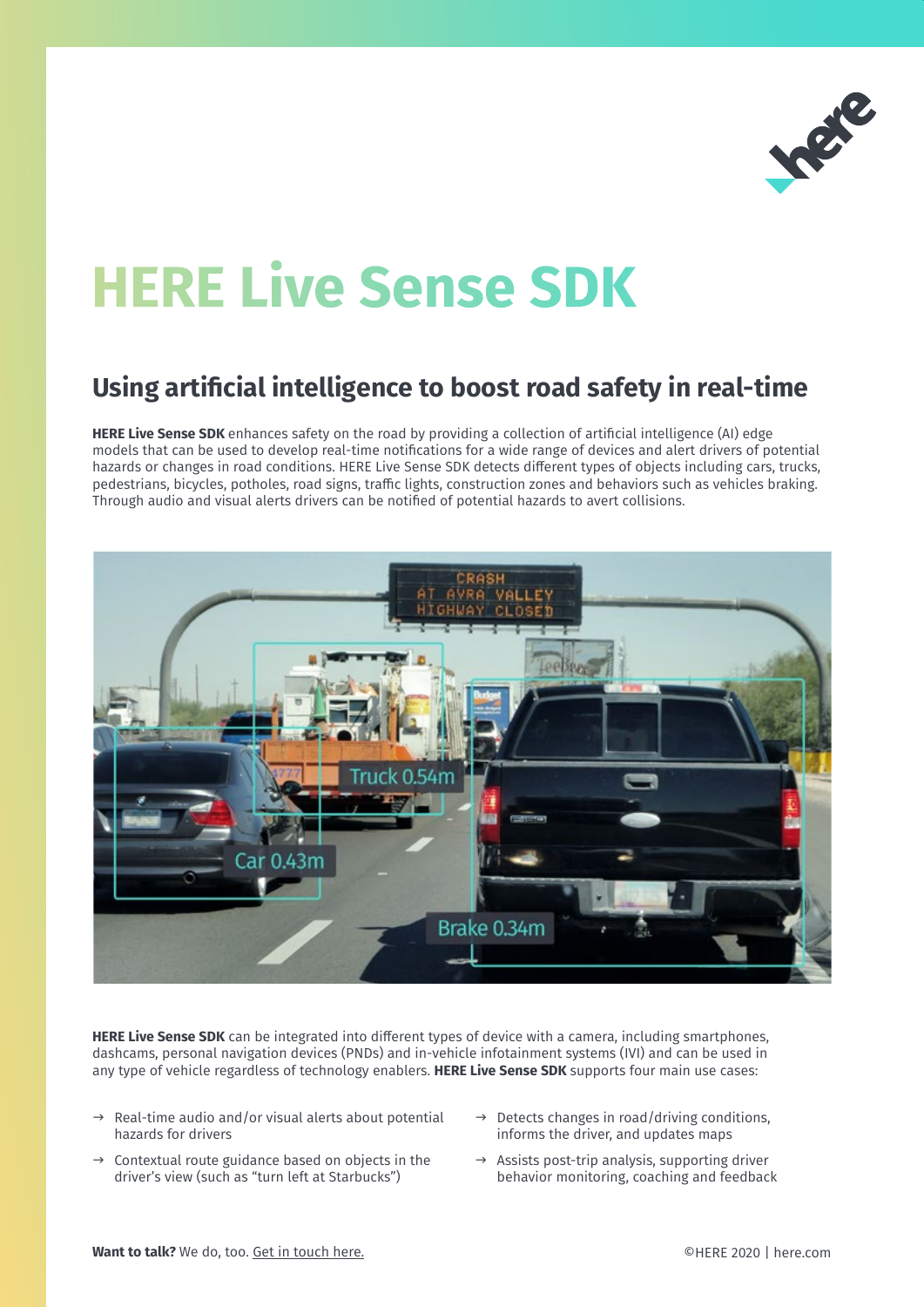

# **HERE Live Sense SDK**

# **Using artificial intelligence to boost road safety in real-time**

**HERE Live Sense SDK** enhances safety on the road by providing a collection of artificial intelligence (AI) edge models that can be used to develop real-time notifications for a wide range of devices and alert drivers of potential hazards or changes in road conditions. HERE Live Sense SDK detects different types of objects including cars, trucks, pedestrians, bicycles, potholes, road signs, traffic lights, construction zones and behaviors such as vehicles braking. Through audio and visual alerts drivers can be notified of potential hazards to avert collisions.



**HERE Live Sense SDK** can be integrated into different types of device with a camera, including smartphones, dashcams, personal navigation devices (PNDs) and in-vehicle infotainment systems (IVI) and can be used in any type of vehicle regardless of technology enablers. **HERE Live Sense SDK** supports four main use cases:

- $\rightarrow$  Real-time audio and/or visual alerts about potential hazards for drivers
- $\rightarrow$  Contextual route guidance based on objects in the driver's view (such as "turn left at Starbucks")
- $\rightarrow$  Detects changes in road/driving conditions, informs the driver, and updates maps
- $\rightarrow$  Assists post-trip analysis, supporting driver behavior monitoring, coaching and feedback